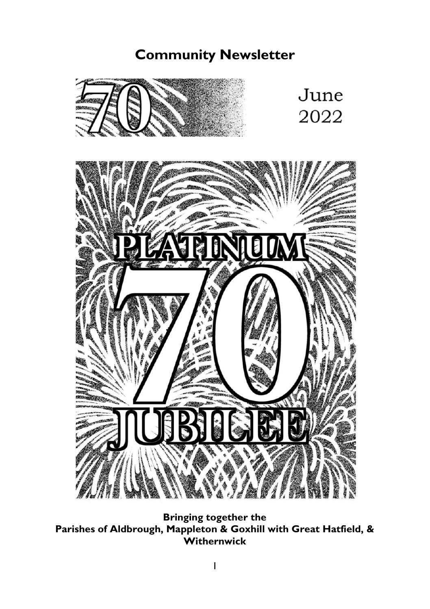# **Community Newsletter**



**Bringing together the Parishes of Aldbrough, Mappleton & Goxhill with Great Hatfield, & Withernwick**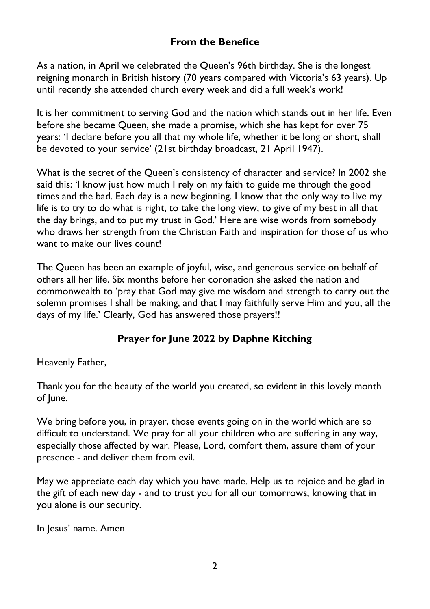## **From the Benefice**

As a nation, in April we celebrated the Queen's 96th birthday. She is the longest reigning monarch in British history (70 years compared with Victoria's 63 years). Up until recently she attended church every week and did a full week's work!

It is her commitment to serving God and the nation which stands out in her life. Even before she became Queen, she made a promise, which she has kept for over 75 years: 'I declare before you all that my whole life, whether it be long or short, shall be devoted to your service' (21st birthday broadcast, 21 April 1947).

What is the secret of the Queen's consistency of character and service? In 2002 she said this: 'I know just how much I rely on my faith to guide me through the good times and the bad. Each day is a new beginning. I know that the only way to live my life is to try to do what is right, to take the long view, to give of my best in all that the day brings, and to put my trust in God.' Here are wise words from somebody who draws her strength from the Christian Faith and inspiration for those of us who want to make our lives count!

The Queen has been an example of joyful, wise, and generous service on behalf of others all her life. Six months before her coronation she asked the nation and commonwealth to 'pray that God may give me wisdom and strength to carry out the solemn promises I shall be making, and that I may faithfully serve Him and you, all the days of my life.' Clearly, God has answered those prayers!!

# **Prayer for June 2022 by Daphne Kitching**

Heavenly Father,

Thank you for the beauty of the world you created, so evident in this lovely month of June.

We bring before you, in prayer, those events going on in the world which are so difficult to understand. We pray for all your children who are suffering in any way, especially those affected by war. Please, Lord, comfort them, assure them of your presence - and deliver them from evil.

May we appreciate each day which you have made. Help us to rejoice and be glad in the gift of each new day - and to trust you for all our tomorrows, knowing that in you alone is our security.

In Jesus' name. Amen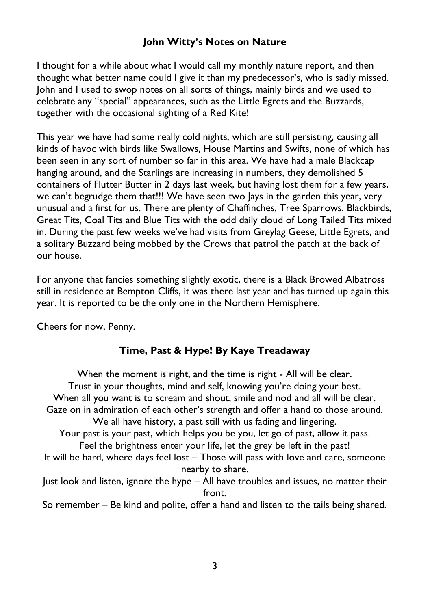## **John Witty's Notes on Nature**

I thought for a while about what I would call my monthly nature report, and then thought what better name could I give it than my predecessor's, who is sadly missed. John and I used to swop notes on all sorts of things, mainly birds and we used to celebrate any "special" appearances, such as the Little Egrets and the Buzzards, together with the occasional sighting of a Red Kite!

This year we have had some really cold nights, which are still persisting, causing all kinds of havoc with birds like Swallows, House Martins and Swifts, none of which has been seen in any sort of number so far in this area. We have had a male Blackcap hanging around, and the Starlings are increasing in numbers, they demolished 5 containers of Flutter Butter in 2 days last week, but having lost them for a few years, we can't begrudge them that!!! We have seen two lays in the garden this year, very unusual and a first for us. There are plenty of Chaffinches, Tree Sparrows, Blackbirds, Great Tits, Coal Tits and Blue Tits with the odd daily cloud of Long Tailed Tits mixed in. During the past few weeks we've had visits from Greylag Geese, Little Egrets, and a solitary Buzzard being mobbed by the Crows that patrol the patch at the back of our house.

For anyone that fancies something slightly exotic, there is a Black Browed Albatross still in residence at Bempton Cliffs, it was there last year and has turned up again this year. It is reported to be the only one in the Northern Hemisphere.

Cheers for now, Penny.

# **Time, Past & Hype! By Kaye Treadaway**

When the moment is right, and the time is right - All will be clear. Trust in your thoughts, mind and self, knowing you're doing your best. When all you want is to scream and shout, smile and nod and all will be clear. Gaze on in admiration of each other's strength and offer a hand to those around. We all have history, a past still with us fading and lingering. Your past is your past, which helps you be you, let go of past, allow it pass. Feel the brightness enter your life, let the grey be left in the past! It will be hard, where days feel lost – Those will pass with love and care, someone nearby to share. Just look and listen, ignore the hype – All have troubles and issues, no matter their front.

So remember – Be kind and polite, offer a hand and listen to the tails being shared.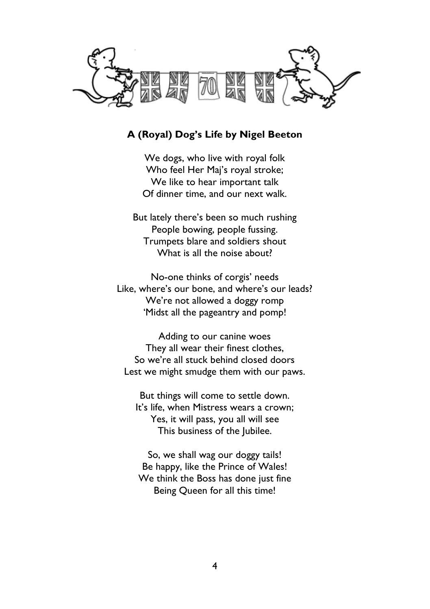

### **A (Royal) Dog's Life by Nigel Beeton**

We dogs, who live with royal folk Who feel Her Maj's royal stroke; We like to hear important talk Of dinner time, and our next walk.

But lately there's been so much rushing People bowing, people fussing. Trumpets blare and soldiers shout What is all the noise about?

No-one thinks of corgis' needs Like, where's our bone, and where's our leads? We're not allowed a doggy romp 'Midst all the pageantry and pomp!

Adding to our canine woes They all wear their finest clothes, So we're all stuck behind closed doors Lest we might smudge them with our paws.

But things will come to settle down. It's life, when Mistress wears a crown; Yes, it will pass, you all will see This business of the Jubilee.

So, we shall wag our doggy tails! Be happy, like the Prince of Wales! We think the Boss has done just fine Being Queen for all this time!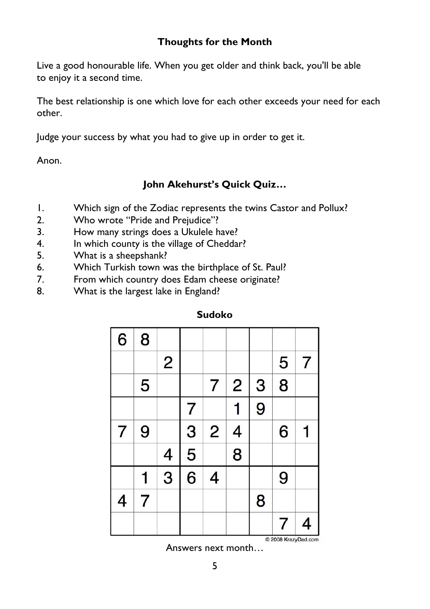### **Thoughts for the Month**

Live a good honourable life. When you get older and think back, you'll be able to enjoy it a second time.

The best relationship is one which love for each other exceeds your need for each other.

Judge your success by what you had to give up in order to get it.

Anon.

# **John Akehurst's Quick Quiz…**

- 1. Which sign of the Zodiac represents the twins Castor and Pollux?
- 2. Who wrote "Pride and Prejudice"?
- 3. How many strings does a Ukulele have?
- 4. In which county is the village of Cheddar?
- 5. What is a sheepshank?
- 6. Which Turkish town was the birthplace of St. Paul?
- 7. From which country does Edam cheese originate?
- 8. What is the largest lake in England?

| 6 | 8              |                |   |                |                |   |   |   |
|---|----------------|----------------|---|----------------|----------------|---|---|---|
|   |                | $\overline{2}$ |   |                |                |   | 5 | 7 |
|   | 5              |                |   | 7              | $\overline{2}$ | 3 | 8 |   |
|   |                |                | 7 |                |                | 9 |   |   |
| 7 | 9              |                | 3 | $\overline{2}$ | $\overline{4}$ |   | 6 |   |
|   |                | 4              | 5 |                | 8              |   |   |   |
|   |                | 3              | 6 | 4              |                |   | 9 |   |
| 4 | $\overline{7}$ |                |   |                |                | 8 |   |   |
|   |                |                |   |                |                |   | 7 | 4 |

**Sudoko**

Answers next month…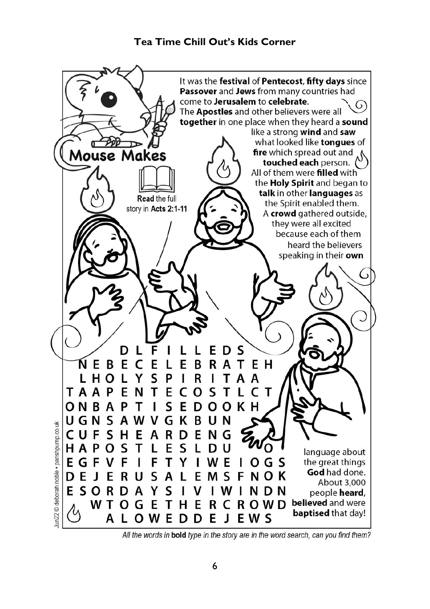# **Tea Time Chill Out's Kids Corner**



All the words in bold type in the story are in the word search, can you find them?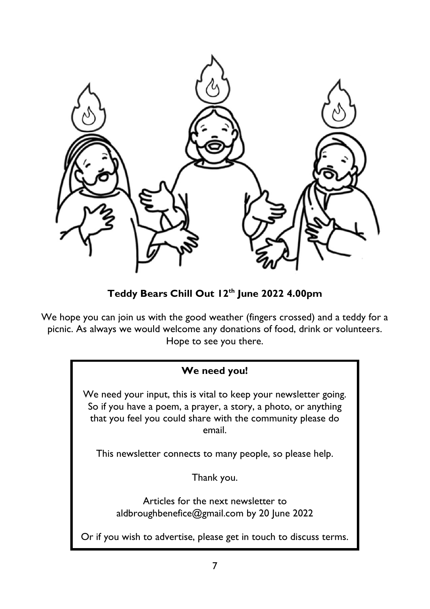

**Teddy Bears Chill Out 12th June 2022 4.00pm**

We hope you can join us with the good weather (fingers crossed) and a teddy for a picnic. As always we would welcome any donations of food, drink or volunteers. Hope to see you there.

# **We need you!**

We need your input, this is vital to keep your newsletter going. So if you have a poem, a prayer, a story, a photo, or anything that you feel you could share with the community please do email.

This newsletter connects to many people, so please help.

Thank you.

Articles for the next newsletter to [aldbroughbenefice@gmail.com](mailto:aldbroughbenefice@gmail.com) by 20 June 2022

Or if you wish to advertise, please get in touch to discuss terms.